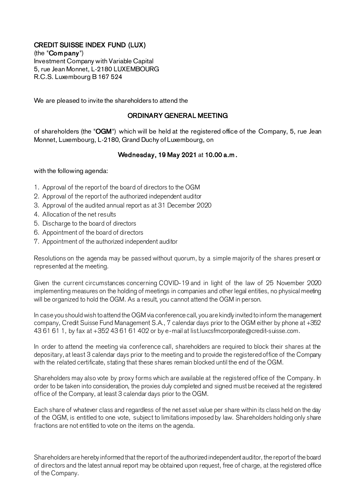## CREDIT SUISSE INDEX FUND (LUX)

(the "Com pany") Investment Company with Variable Capital 5, rue Jean Monnet, L-2180 LUXEMBOURG R.C.S. Luxembourg B 167 524

We are pleased to invite the shareholders to attend the

## ORDINARY GENERAL MEETING

of shareholders (the "OGM") which will be held at the registered office of the Company, 5, rue Jean Monnet, Luxembourg, L-2180, Grand Duchy of Luxembourg, on

## Wednesday, 19 May 2021 at 10.00 a.m .

with the following agenda:

- 1. Approval of the report of the board of directors to the OGM
- 2. Approval of the report of the authorized independent auditor
- 3. Approval of the audited annual report as at 31 December 2020
- 4. Allocation of the net results
- 5. Discharge to the board of directors
- 6. Appointment of the board of directors
- 7. Appointment of the authorized independent auditor

Resolutions on the agenda may be passed without quorum, by a simple majority of the shares present or represented at the meeting.

Given the current circumstances concerning COVID-19 and in light of the law of 25 November 2020 implementing measures on the holding of meetings in companies and other legal entities, no physical meeting will be organized to hold the OGM. As a result, you cannot attend the OGM in person.

In case you should wish to attend the OGM via conference call, you are kindly invited to inform the management company, Credit Suisse Fund Management S.A., 7 calendar days prior to the OGM either by phone at +352 43 61 61 1, by fax at +352 43 61 61 402 or by e-mail at list.luxcsfmcorporate@credit-suisse.com.

In order to attend the meeting via conference call, shareholders are required to block their shares at the depositary, at least 3 calendar days prior to the meeting and to provide the registered office of the Company with the related certificate, stating that these shares remain blocked until the end of the OGM.

Shareholders may also vote by proxy forms which are available at the registered office of the Company. In order to be taken into consideration, the proxies duly completed and signed must be received at the registered office of the Company, at least 3 calendar days prior to the OGM.

Each share of whatever class and regardless of the net asset value per share within its class held on the day of the OGM, is entitled to one vote, subject to limitations imposed by law. Shareholders holding only share fractions are not entitled to vote on the items on the agenda.

Shareholders are hereby informed that the report of the authorized independent auditor, the report of the board of directors and the latest annual report may be obtained upon request, free of charge, at the registered office of the Company.